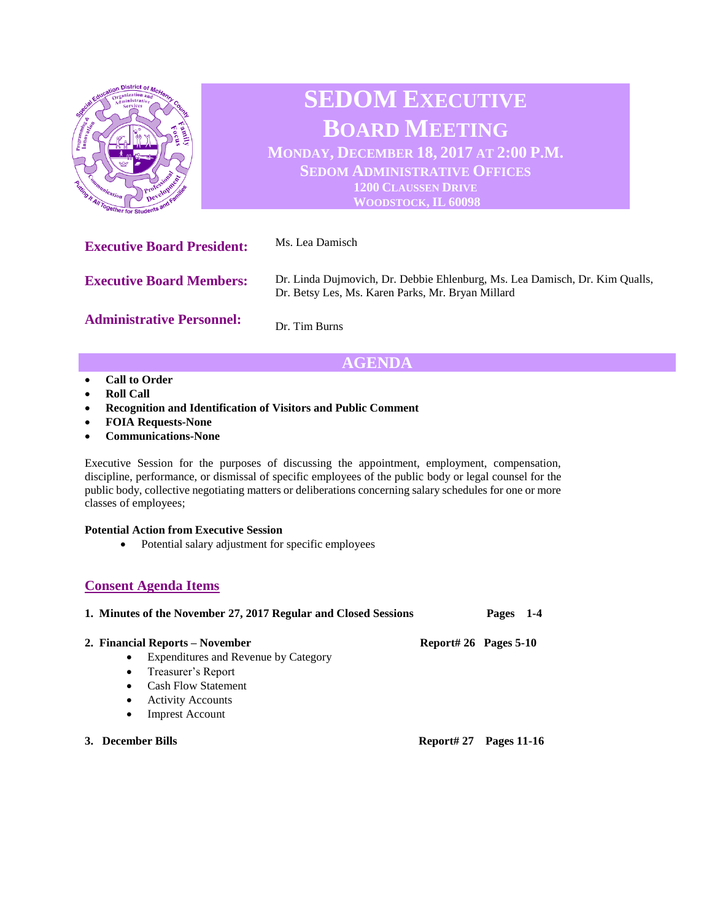

## **AGENDA**

- **Call to Order**
- **Roll Call**
- **Recognition and Identification of Visitors and Public Comment**
- **FOIA Requests-None**
- **Communications-None**

Executive Session for the purposes of discussing the appointment, employment, compensation, discipline, performance, or dismissal of specific employees of the public body or legal counsel for the public body, collective negotiating matters or deliberations concerning salary schedules for one or more classes of employees;

## **Potential Action from Executive Session**

• Potential salary adjustment for specific employees

## **Consent Agenda Items**

| 1. Minutes of the November 27, 2017 Regular and Closed Sessions |                       | $1 - 4$<br>Pages   |
|-----------------------------------------------------------------|-----------------------|--------------------|
| 2. Financial Reports – November                                 | Report# 26 Pages 5-10 |                    |
| Expenditures and Revenue by Category<br>$\bullet$               |                       |                    |
| Treasurer's Report<br>$\bullet$                                 |                       |                    |
| <b>Cash Flow Statement</b><br>$\bullet$                         |                       |                    |
| <b>Activity Accounts</b><br>$\bullet$                           |                       |                    |
| <b>Imprest Account</b><br>$\bullet$                             |                       |                    |
| 3. December Bills                                               | Report# 27            | <b>Pages 11-16</b> |